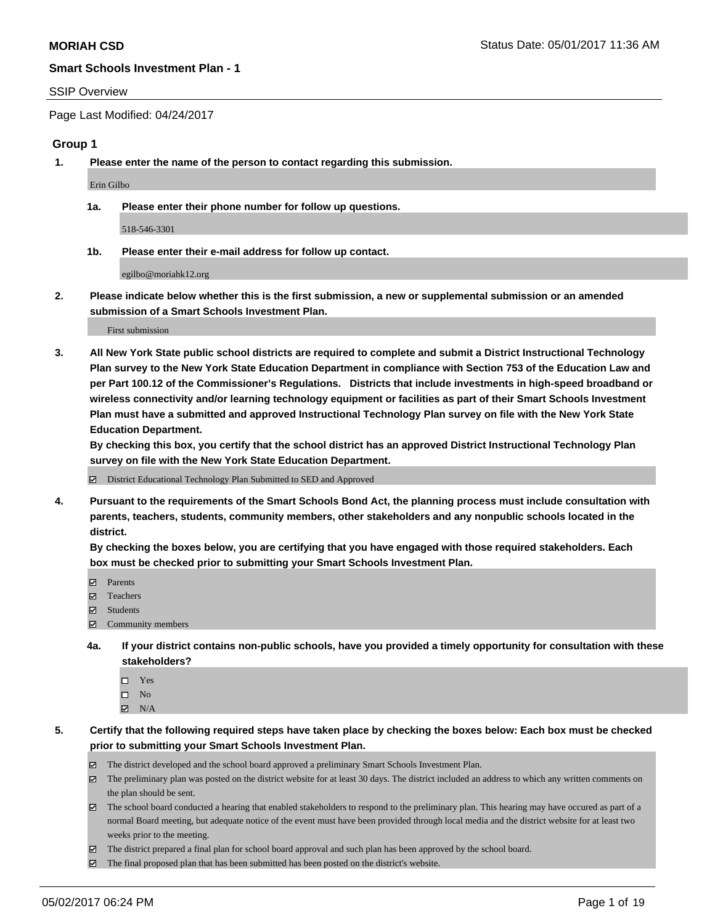#### SSIP Overview

Page Last Modified: 04/24/2017

# **Group 1**

**1. Please enter the name of the person to contact regarding this submission.**

Erin Gilbo

**1a. Please enter their phone number for follow up questions.**

518-546-3301

**1b. Please enter their e-mail address for follow up contact.**

egilbo@moriahk12.org

**2. Please indicate below whether this is the first submission, a new or supplemental submission or an amended submission of a Smart Schools Investment Plan.**

First submission

**3. All New York State public school districts are required to complete and submit a District Instructional Technology Plan survey to the New York State Education Department in compliance with Section 753 of the Education Law and per Part 100.12 of the Commissioner's Regulations. Districts that include investments in high-speed broadband or wireless connectivity and/or learning technology equipment or facilities as part of their Smart Schools Investment Plan must have a submitted and approved Instructional Technology Plan survey on file with the New York State Education Department.** 

**By checking this box, you certify that the school district has an approved District Instructional Technology Plan survey on file with the New York State Education Department.**

District Educational Technology Plan Submitted to SED and Approved

**4. Pursuant to the requirements of the Smart Schools Bond Act, the planning process must include consultation with parents, teachers, students, community members, other stakeholders and any nonpublic schools located in the district.** 

**By checking the boxes below, you are certifying that you have engaged with those required stakeholders. Each box must be checked prior to submitting your Smart Schools Investment Plan.**

- **マ** Parents
- □ Teachers
- Students
- $\Xi$  Community members
- **4a. If your district contains non-public schools, have you provided a timely opportunity for consultation with these stakeholders?**
	- Yes
	- $\hfill \square$  No
	- $\boxtimes$  N/A
- **5. Certify that the following required steps have taken place by checking the boxes below: Each box must be checked prior to submitting your Smart Schools Investment Plan.**
	- The district developed and the school board approved a preliminary Smart Schools Investment Plan.
	- $\boxtimes$  The preliminary plan was posted on the district website for at least 30 days. The district included an address to which any written comments on the plan should be sent.
	- $\boxtimes$  The school board conducted a hearing that enabled stakeholders to respond to the preliminary plan. This hearing may have occured as part of a normal Board meeting, but adequate notice of the event must have been provided through local media and the district website for at least two weeks prior to the meeting.
	- The district prepared a final plan for school board approval and such plan has been approved by the school board.
	- $\boxtimes$  The final proposed plan that has been submitted has been posted on the district's website.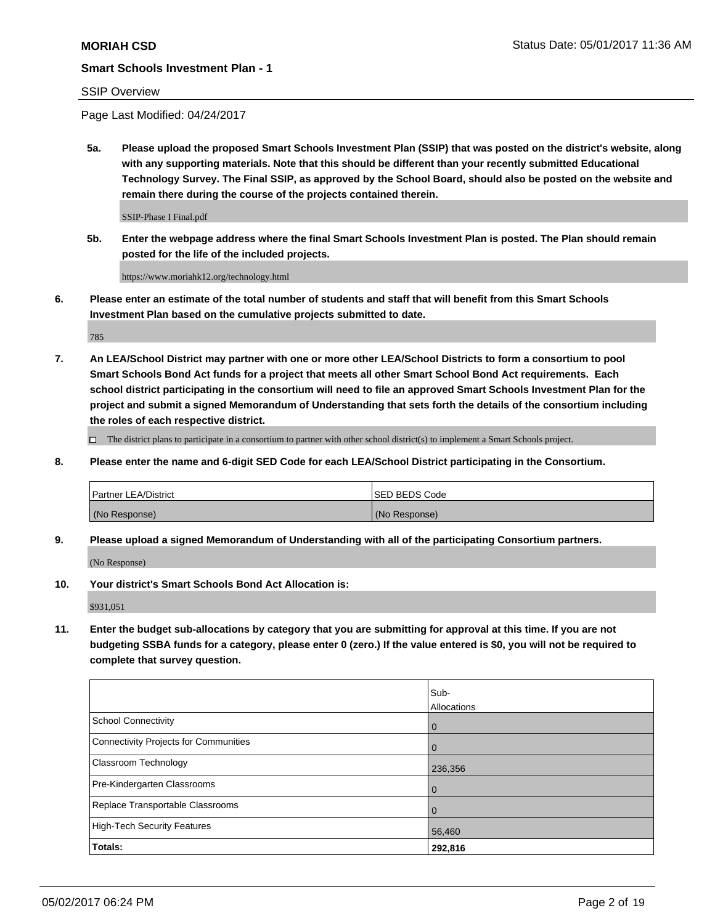# SSIP Overview

Page Last Modified: 04/24/2017

**5a. Please upload the proposed Smart Schools Investment Plan (SSIP) that was posted on the district's website, along with any supporting materials. Note that this should be different than your recently submitted Educational Technology Survey. The Final SSIP, as approved by the School Board, should also be posted on the website and remain there during the course of the projects contained therein.**

SSIP-Phase I Final.pdf

**5b. Enter the webpage address where the final Smart Schools Investment Plan is posted. The Plan should remain posted for the life of the included projects.**

https://www.moriahk12.org/technology.html

**6. Please enter an estimate of the total number of students and staff that will benefit from this Smart Schools Investment Plan based on the cumulative projects submitted to date.**

785

**7. An LEA/School District may partner with one or more other LEA/School Districts to form a consortium to pool Smart Schools Bond Act funds for a project that meets all other Smart School Bond Act requirements. Each school district participating in the consortium will need to file an approved Smart Schools Investment Plan for the project and submit a signed Memorandum of Understanding that sets forth the details of the consortium including the roles of each respective district.**

 $\Box$  The district plans to participate in a consortium to partner with other school district(s) to implement a Smart Schools project.

**8. Please enter the name and 6-digit SED Code for each LEA/School District participating in the Consortium.**

| <b>Partner LEA/District</b> | <b>ISED BEDS Code</b> |
|-----------------------------|-----------------------|
| (No Response)               | (No Response)         |

**9. Please upload a signed Memorandum of Understanding with all of the participating Consortium partners.**

(No Response)

**10. Your district's Smart Schools Bond Act Allocation is:**

\$931,051

**11. Enter the budget sub-allocations by category that you are submitting for approval at this time. If you are not budgeting SSBA funds for a category, please enter 0 (zero.) If the value entered is \$0, you will not be required to complete that survey question.**

|                                              | Sub-<br>Allocations |
|----------------------------------------------|---------------------|
| <b>School Connectivity</b>                   | $\overline{0}$      |
| <b>Connectivity Projects for Communities</b> | $\overline{0}$      |
| Classroom Technology                         | 236,356             |
| Pre-Kindergarten Classrooms                  | l 0                 |
| Replace Transportable Classrooms             | $\mathbf 0$         |
| <b>High-Tech Security Features</b>           | 56,460              |
| Totals:                                      | 292,816             |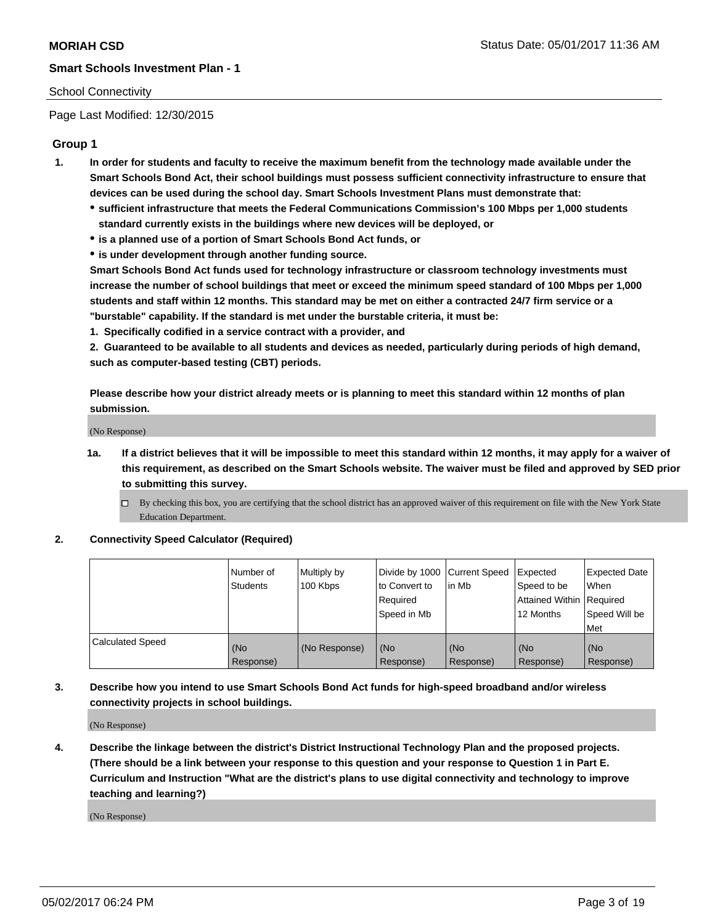# School Connectivity

Page Last Modified: 12/30/2015

# **Group 1**

- **1. In order for students and faculty to receive the maximum benefit from the technology made available under the Smart Schools Bond Act, their school buildings must possess sufficient connectivity infrastructure to ensure that devices can be used during the school day. Smart Schools Investment Plans must demonstrate that:**
	- **sufficient infrastructure that meets the Federal Communications Commission's 100 Mbps per 1,000 students standard currently exists in the buildings where new devices will be deployed, or**
	- **is a planned use of a portion of Smart Schools Bond Act funds, or**
	- **is under development through another funding source.**

**Smart Schools Bond Act funds used for technology infrastructure or classroom technology investments must increase the number of school buildings that meet or exceed the minimum speed standard of 100 Mbps per 1,000 students and staff within 12 months. This standard may be met on either a contracted 24/7 firm service or a "burstable" capability. If the standard is met under the burstable criteria, it must be:**

**1. Specifically codified in a service contract with a provider, and**

**2. Guaranteed to be available to all students and devices as needed, particularly during periods of high demand, such as computer-based testing (CBT) periods.**

**Please describe how your district already meets or is planning to meet this standard within 12 months of plan submission.**

(No Response)

- **1a. If a district believes that it will be impossible to meet this standard within 12 months, it may apply for a waiver of this requirement, as described on the Smart Schools website. The waiver must be filed and approved by SED prior to submitting this survey.**
	- By checking this box, you are certifying that the school district has an approved waiver of this requirement on file with the New York State Education Department.

### **2. Connectivity Speed Calculator (Required)**

|                         | l Number of<br><b>Students</b> | Multiply by<br>100 Kbps | Divide by 1000   Current Speed<br>to Convert to<br>Required<br>l Speed in Mb | in Mb            | Expected<br>Speed to be<br>Attained Within Required<br>12 Months | <b>Expected Date</b><br>When<br>Speed Will be<br><b>Met</b> |
|-------------------------|--------------------------------|-------------------------|------------------------------------------------------------------------------|------------------|------------------------------------------------------------------|-------------------------------------------------------------|
| <b>Calculated Speed</b> | (No<br>Response)               | (No Response)           | (No<br>Response)                                                             | (No<br>Response) | (No<br>Response)                                                 | l (No<br>Response)                                          |

# **3. Describe how you intend to use Smart Schools Bond Act funds for high-speed broadband and/or wireless connectivity projects in school buildings.**

(No Response)

**4. Describe the linkage between the district's District Instructional Technology Plan and the proposed projects. (There should be a link between your response to this question and your response to Question 1 in Part E. Curriculum and Instruction "What are the district's plans to use digital connectivity and technology to improve teaching and learning?)**

(No Response)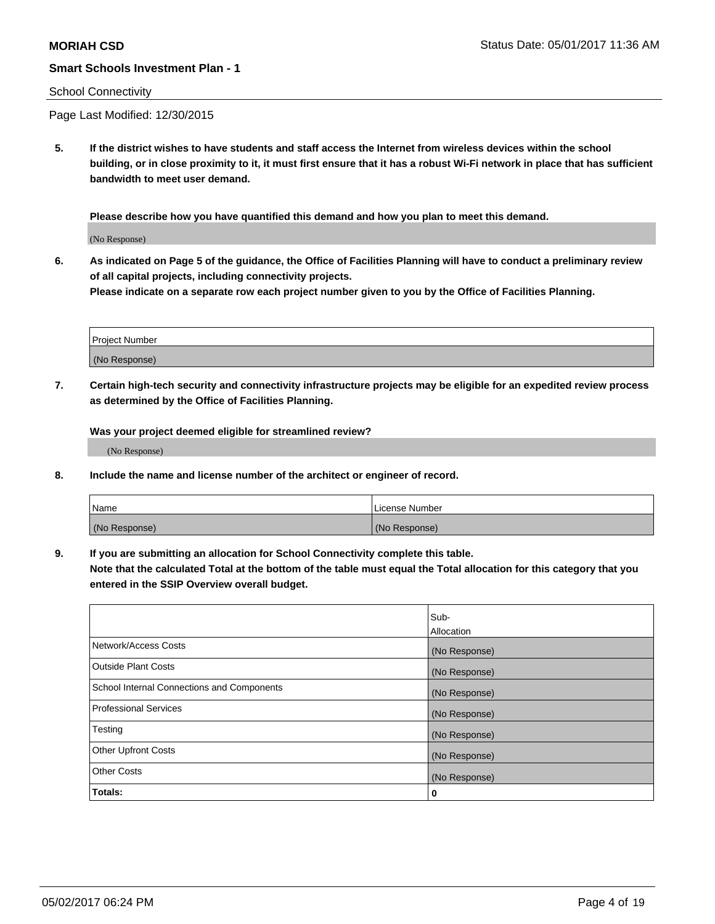### School Connectivity

Page Last Modified: 12/30/2015

**5. If the district wishes to have students and staff access the Internet from wireless devices within the school building, or in close proximity to it, it must first ensure that it has a robust Wi-Fi network in place that has sufficient bandwidth to meet user demand.**

**Please describe how you have quantified this demand and how you plan to meet this demand.**

(No Response)

**6. As indicated on Page 5 of the guidance, the Office of Facilities Planning will have to conduct a preliminary review of all capital projects, including connectivity projects.**

**Please indicate on a separate row each project number given to you by the Office of Facilities Planning.**

| Project Number |  |
|----------------|--|
|                |  |
| (No Response)  |  |

**7. Certain high-tech security and connectivity infrastructure projects may be eligible for an expedited review process as determined by the Office of Facilities Planning.**

**Was your project deemed eligible for streamlined review?**

(No Response)

**8. Include the name and license number of the architect or engineer of record.**

| Name          | License Number |
|---------------|----------------|
| (No Response) | (No Response)  |

**9. If you are submitting an allocation for School Connectivity complete this table.**

**Note that the calculated Total at the bottom of the table must equal the Total allocation for this category that you entered in the SSIP Overview overall budget.** 

|                                            | Sub-          |
|--------------------------------------------|---------------|
|                                            | Allocation    |
| Network/Access Costs                       | (No Response) |
| Outside Plant Costs                        | (No Response) |
| School Internal Connections and Components | (No Response) |
| <b>Professional Services</b>               | (No Response) |
| Testing                                    | (No Response) |
| <b>Other Upfront Costs</b>                 | (No Response) |
| <b>Other Costs</b>                         | (No Response) |
| Totals:                                    | 0             |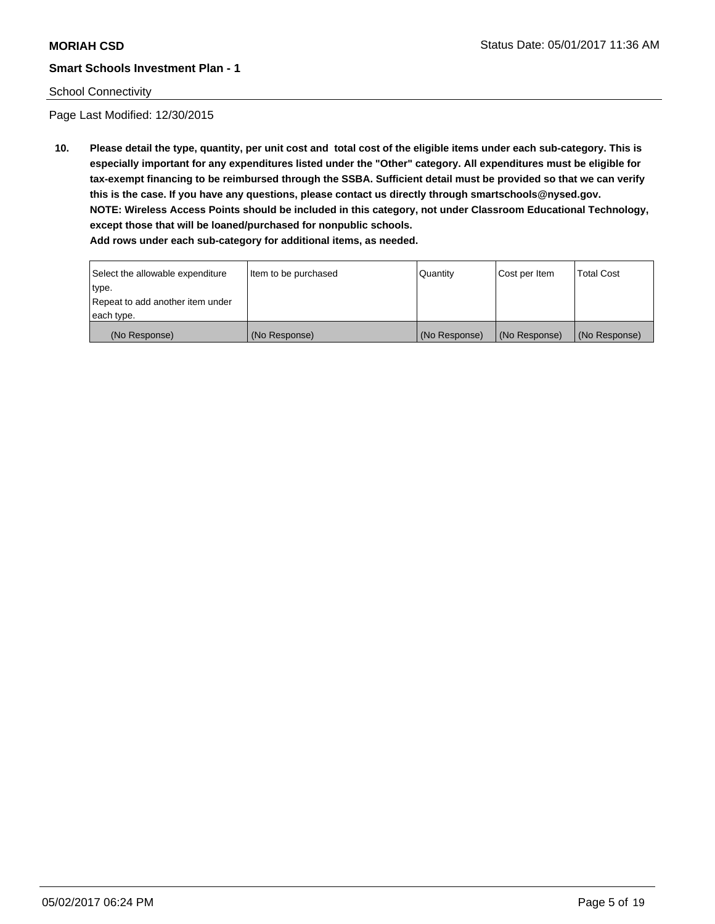### School Connectivity

Page Last Modified: 12/30/2015

**10. Please detail the type, quantity, per unit cost and total cost of the eligible items under each sub-category. This is especially important for any expenditures listed under the "Other" category. All expenditures must be eligible for tax-exempt financing to be reimbursed through the SSBA. Sufficient detail must be provided so that we can verify this is the case. If you have any questions, please contact us directly through smartschools@nysed.gov. NOTE: Wireless Access Points should be included in this category, not under Classroom Educational Technology, except those that will be loaned/purchased for nonpublic schools.**

| Select the allowable expenditure | Item to be purchased | Quantity      | Cost per Item | Total Cost    |
|----------------------------------|----------------------|---------------|---------------|---------------|
| type.                            |                      |               |               |               |
| Repeat to add another item under |                      |               |               |               |
| each type.                       |                      |               |               |               |
| (No Response)                    | (No Response)        | (No Response) | (No Response) | (No Response) |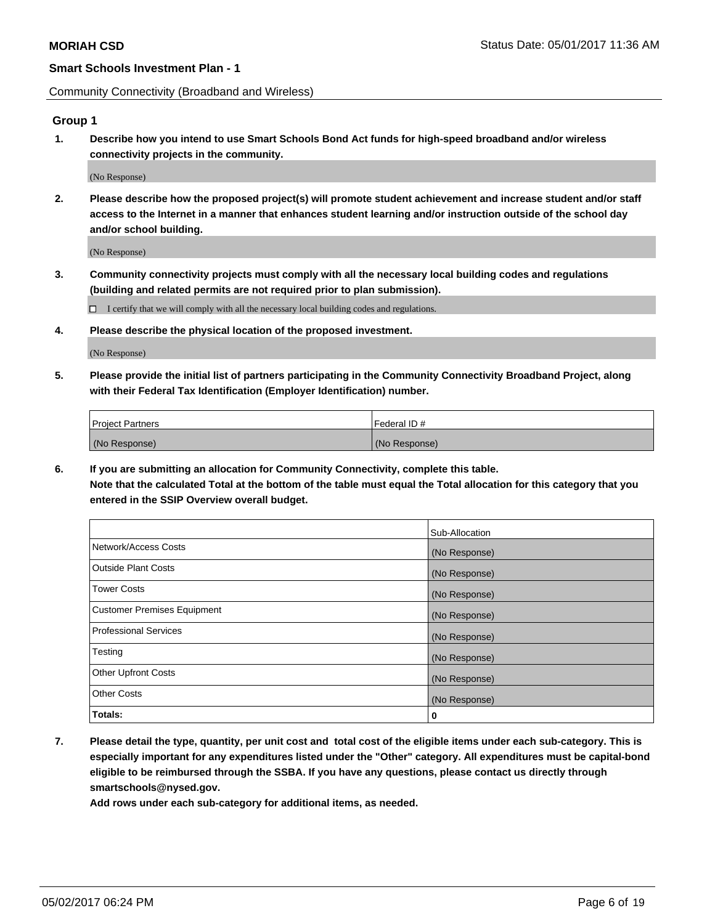Community Connectivity (Broadband and Wireless)

# **Group 1**

**1. Describe how you intend to use Smart Schools Bond Act funds for high-speed broadband and/or wireless connectivity projects in the community.**

(No Response)

**2. Please describe how the proposed project(s) will promote student achievement and increase student and/or staff access to the Internet in a manner that enhances student learning and/or instruction outside of the school day and/or school building.**

(No Response)

**3. Community connectivity projects must comply with all the necessary local building codes and regulations (building and related permits are not required prior to plan submission).**

 $\Box$  I certify that we will comply with all the necessary local building codes and regulations.

**4. Please describe the physical location of the proposed investment.**

(No Response)

**5. Please provide the initial list of partners participating in the Community Connectivity Broadband Project, along with their Federal Tax Identification (Employer Identification) number.**

| <b>Project Partners</b> | l Federal ID # |
|-------------------------|----------------|
| (No Response)           | (No Response)  |

**6. If you are submitting an allocation for Community Connectivity, complete this table. Note that the calculated Total at the bottom of the table must equal the Total allocation for this category that you entered in the SSIP Overview overall budget.**

|                                    | Sub-Allocation |
|------------------------------------|----------------|
| Network/Access Costs               | (No Response)  |
| Outside Plant Costs                | (No Response)  |
| <b>Tower Costs</b>                 | (No Response)  |
| <b>Customer Premises Equipment</b> | (No Response)  |
| Professional Services              | (No Response)  |
| Testing                            | (No Response)  |
| <b>Other Upfront Costs</b>         | (No Response)  |
| <b>Other Costs</b>                 | (No Response)  |
| Totals:                            | 0              |

**7. Please detail the type, quantity, per unit cost and total cost of the eligible items under each sub-category. This is especially important for any expenditures listed under the "Other" category. All expenditures must be capital-bond eligible to be reimbursed through the SSBA. If you have any questions, please contact us directly through smartschools@nysed.gov.**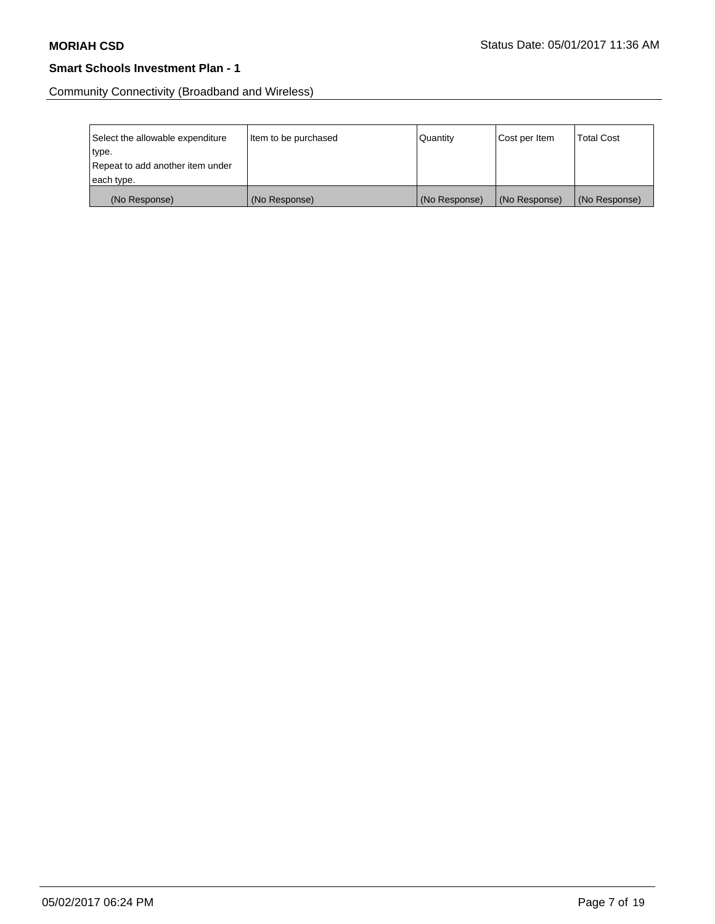Community Connectivity (Broadband and Wireless)

| Select the allowable expenditure<br>type.      | Item to be purchased | Quantity      | Cost per Item | <b>Total Cost</b> |
|------------------------------------------------|----------------------|---------------|---------------|-------------------|
| Repeat to add another item under<br>each type. |                      |               |               |                   |
| (No Response)                                  | (No Response)        | (No Response) | (No Response) | (No Response)     |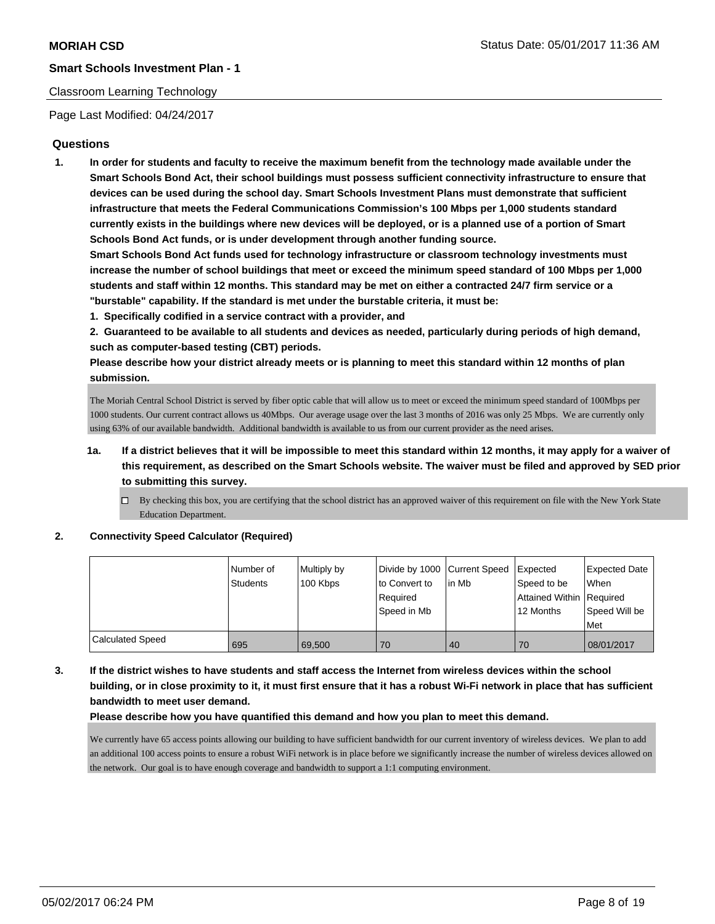# Classroom Learning Technology

Page Last Modified: 04/24/2017

# **Questions**

**1. In order for students and faculty to receive the maximum benefit from the technology made available under the Smart Schools Bond Act, their school buildings must possess sufficient connectivity infrastructure to ensure that devices can be used during the school day. Smart Schools Investment Plans must demonstrate that sufficient infrastructure that meets the Federal Communications Commission's 100 Mbps per 1,000 students standard currently exists in the buildings where new devices will be deployed, or is a planned use of a portion of Smart Schools Bond Act funds, or is under development through another funding source.**

**Smart Schools Bond Act funds used for technology infrastructure or classroom technology investments must increase the number of school buildings that meet or exceed the minimum speed standard of 100 Mbps per 1,000 students and staff within 12 months. This standard may be met on either a contracted 24/7 firm service or a "burstable" capability. If the standard is met under the burstable criteria, it must be:**

**1. Specifically codified in a service contract with a provider, and**

**2. Guaranteed to be available to all students and devices as needed, particularly during periods of high demand, such as computer-based testing (CBT) periods.**

**Please describe how your district already meets or is planning to meet this standard within 12 months of plan submission.**

The Moriah Central School District is served by fiber optic cable that will allow us to meet or exceed the minimum speed standard of 100Mbps per 1000 students. Our current contract allows us 40Mbps. Our average usage over the last 3 months of 2016 was only 25 Mbps. We are currently only using 63% of our available bandwidth. Additional bandwidth is available to us from our current provider as the need arises.

- **1a. If a district believes that it will be impossible to meet this standard within 12 months, it may apply for a waiver of this requirement, as described on the Smart Schools website. The waiver must be filed and approved by SED prior to submitting this survey.**
	- $\Box$  By checking this box, you are certifying that the school district has an approved waiver of this requirement on file with the New York State Education Department.

**2. Connectivity Speed Calculator (Required)**

|                  | Number of<br><b>Students</b> | Multiply by<br>100 Kbps | Divide by 1000 Current Speed<br>to Convert to<br>Required | lin Mb | Expected<br>Speed to be<br>Attained Within   Required | Expected Date<br><b>When</b> |
|------------------|------------------------------|-------------------------|-----------------------------------------------------------|--------|-------------------------------------------------------|------------------------------|
|                  |                              |                         | Speed in Mb                                               |        | 12 Months                                             | Speed Will be<br>Met         |
| Calculated Speed | 695                          | 69.500                  | 70                                                        | 40     | 70                                                    | 08/01/2017                   |

**3. If the district wishes to have students and staff access the Internet from wireless devices within the school building, or in close proximity to it, it must first ensure that it has a robust Wi-Fi network in place that has sufficient bandwidth to meet user demand.**

**Please describe how you have quantified this demand and how you plan to meet this demand.**

We currently have 65 access points allowing our building to have sufficient bandwidth for our current inventory of wireless devices. We plan to add an additional 100 access points to ensure a robust WiFi network is in place before we significantly increase the number of wireless devices allowed on the network. Our goal is to have enough coverage and bandwidth to support a 1:1 computing environment.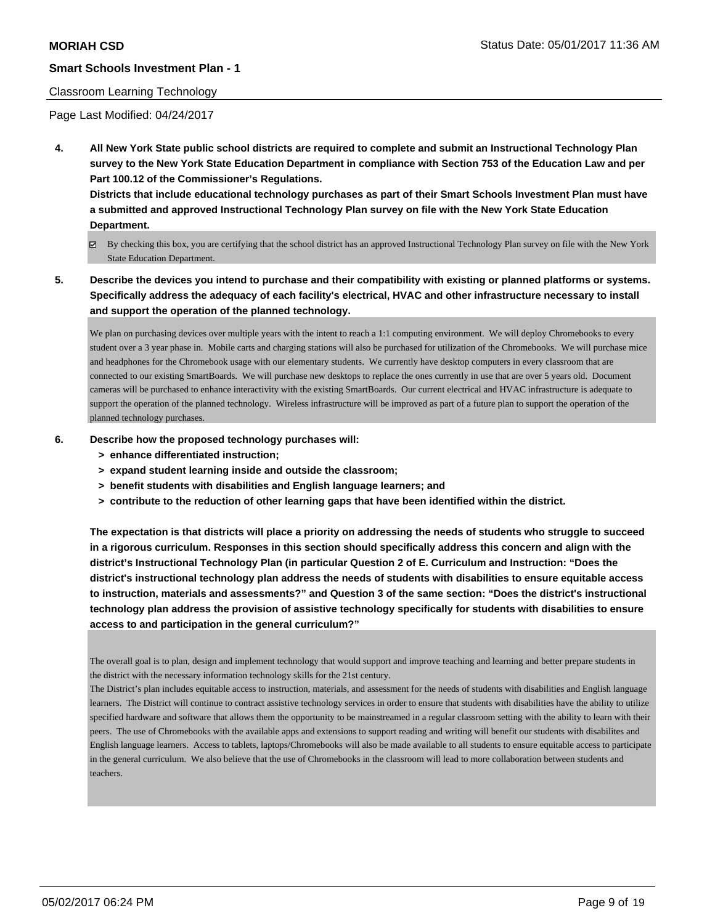#### Classroom Learning Technology

Page Last Modified: 04/24/2017

**4. All New York State public school districts are required to complete and submit an Instructional Technology Plan survey to the New York State Education Department in compliance with Section 753 of the Education Law and per Part 100.12 of the Commissioner's Regulations.**

**Districts that include educational technology purchases as part of their Smart Schools Investment Plan must have a submitted and approved Instructional Technology Plan survey on file with the New York State Education Department.**

- By checking this box, you are certifying that the school district has an approved Instructional Technology Plan survey on file with the New York State Education Department.
- **5. Describe the devices you intend to purchase and their compatibility with existing or planned platforms or systems. Specifically address the adequacy of each facility's electrical, HVAC and other infrastructure necessary to install and support the operation of the planned technology.**

We plan on purchasing devices over multiple years with the intent to reach a 1:1 computing environment. We will deploy Chromebooks to every student over a 3 year phase in. Mobile carts and charging stations will also be purchased for utilization of the Chromebooks. We will purchase mice and headphones for the Chromebook usage with our elementary students. We currently have desktop computers in every classroom that are connected to our existing SmartBoards. We will purchase new desktops to replace the ones currently in use that are over 5 years old. Document cameras will be purchased to enhance interactivity with the existing SmartBoards. Our current electrical and HVAC infrastructure is adequate to support the operation of the planned technology. Wireless infrastructure will be improved as part of a future plan to support the operation of the planned technology purchases.

- **6. Describe how the proposed technology purchases will:**
	- **> enhance differentiated instruction;**
	- **> expand student learning inside and outside the classroom;**
	- **> benefit students with disabilities and English language learners; and**
	- **> contribute to the reduction of other learning gaps that have been identified within the district.**

**The expectation is that districts will place a priority on addressing the needs of students who struggle to succeed in a rigorous curriculum. Responses in this section should specifically address this concern and align with the district's Instructional Technology Plan (in particular Question 2 of E. Curriculum and Instruction: "Does the district's instructional technology plan address the needs of students with disabilities to ensure equitable access to instruction, materials and assessments?" and Question 3 of the same section: "Does the district's instructional technology plan address the provision of assistive technology specifically for students with disabilities to ensure access to and participation in the general curriculum?"**

The overall goal is to plan, design and implement technology that would support and improve teaching and learning and better prepare students in the district with the necessary information technology skills for the 21st century.

The District's plan includes equitable access to instruction, materials, and assessment for the needs of students with disabilities and English language learners. The District will continue to contract assistive technology services in order to ensure that students with disabilities have the ability to utilize specified hardware and software that allows them the opportunity to be mainstreamed in a regular classroom setting with the ability to learn with their peers. The use of Chromebooks with the available apps and extensions to support reading and writing will benefit our students with disabilites and English language learners. Access to tablets, laptops/Chromebooks will also be made available to all students to ensure equitable access to participate in the general curriculum. We also believe that the use of Chromebooks in the classroom will lead to more collaboration between students and teachers.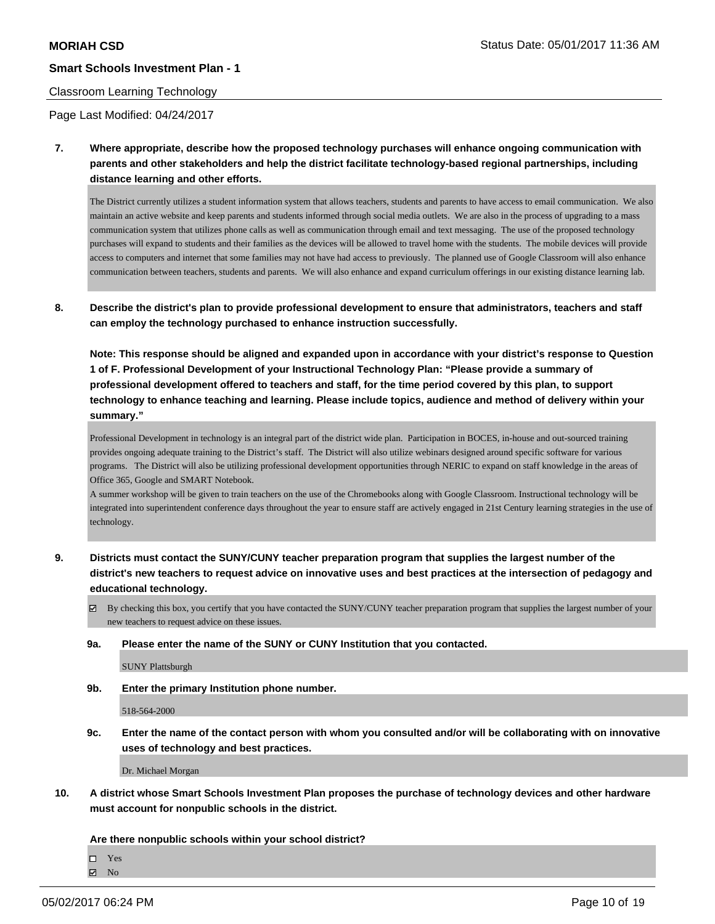#### Classroom Learning Technology

Page Last Modified: 04/24/2017

**7. Where appropriate, describe how the proposed technology purchases will enhance ongoing communication with parents and other stakeholders and help the district facilitate technology-based regional partnerships, including distance learning and other efforts.**

The District currently utilizes a student information system that allows teachers, students and parents to have access to email communication. We also maintain an active website and keep parents and students informed through social media outlets. We are also in the process of upgrading to a mass communication system that utilizes phone calls as well as communication through email and text messaging. The use of the proposed technology purchases will expand to students and their families as the devices will be allowed to travel home with the students. The mobile devices will provide access to computers and internet that some families may not have had access to previously. The planned use of Google Classroom will also enhance communication between teachers, students and parents. We will also enhance and expand curriculum offerings in our existing distance learning lab.

**8. Describe the district's plan to provide professional development to ensure that administrators, teachers and staff can employ the technology purchased to enhance instruction successfully.**

**Note: This response should be aligned and expanded upon in accordance with your district's response to Question 1 of F. Professional Development of your Instructional Technology Plan: "Please provide a summary of professional development offered to teachers and staff, for the time period covered by this plan, to support technology to enhance teaching and learning. Please include topics, audience and method of delivery within your summary."**

Professional Development in technology is an integral part of the district wide plan. Participation in BOCES, in-house and out-sourced training provides ongoing adequate training to the District's staff. The District will also utilize webinars designed around specific software for various programs. The District will also be utilizing professional development opportunities through NERIC to expand on staff knowledge in the areas of Office 365, Google and SMART Notebook.

A summer workshop will be given to train teachers on the use of the Chromebooks along with Google Classroom. Instructional technology will be integrated into superintendent conference days throughout the year to ensure staff are actively engaged in 21st Century learning strategies in the use of technology.

**9. Districts must contact the SUNY/CUNY teacher preparation program that supplies the largest number of the district's new teachers to request advice on innovative uses and best practices at the intersection of pedagogy and educational technology.**

 $\boxtimes$  By checking this box, you certify that you have contacted the SUNY/CUNY teacher preparation program that supplies the largest number of your new teachers to request advice on these issues.

**9a. Please enter the name of the SUNY or CUNY Institution that you contacted.**

SUNY Plattsburgh

**9b. Enter the primary Institution phone number.**

518-564-2000

**9c. Enter the name of the contact person with whom you consulted and/or will be collaborating with on innovative uses of technology and best practices.**

Dr. Michael Morgan

**10. A district whose Smart Schools Investment Plan proposes the purchase of technology devices and other hardware must account for nonpublic schools in the district.**

**Are there nonpublic schools within your school district?**

 $\Box$ Yes **Z** No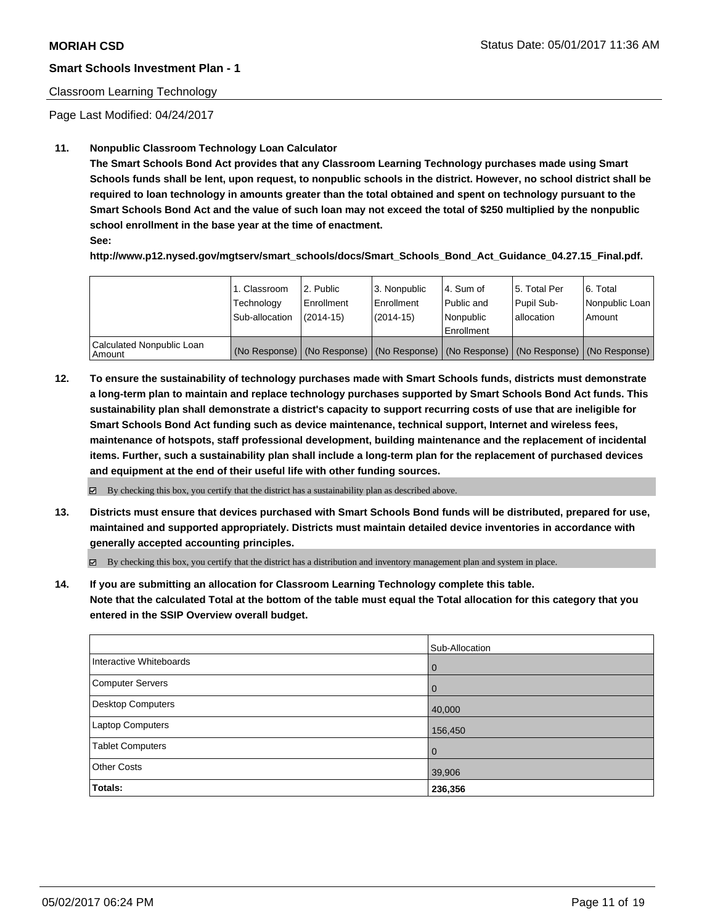# Classroom Learning Technology

Page Last Modified: 04/24/2017

# **11. Nonpublic Classroom Technology Loan Calculator**

**The Smart Schools Bond Act provides that any Classroom Learning Technology purchases made using Smart Schools funds shall be lent, upon request, to nonpublic schools in the district. However, no school district shall be required to loan technology in amounts greater than the total obtained and spent on technology pursuant to the Smart Schools Bond Act and the value of such loan may not exceed the total of \$250 multiplied by the nonpublic school enrollment in the base year at the time of enactment.**

**See:**

**http://www.p12.nysed.gov/mgtserv/smart\_schools/docs/Smart\_Schools\_Bond\_Act\_Guidance\_04.27.15\_Final.pdf.**

|                                       | 1. Classroom<br>Technology<br>Sub-allocation | 2. Public<br>Enrollment<br>$(2014-15)$ | 3. Nonpublic<br>Enrollment<br>$(2014-15)$ | l 4. Sum of<br>l Public and<br>l Nonpublic<br>l Enrollment | 15. Total Per<br>Pupil Sub-<br>lallocation | 6. Total<br>Nonpublic Loan  <br>Amount                                                        |
|---------------------------------------|----------------------------------------------|----------------------------------------|-------------------------------------------|------------------------------------------------------------|--------------------------------------------|-----------------------------------------------------------------------------------------------|
| Calculated Nonpublic Loan<br>l Amount |                                              |                                        |                                           |                                                            |                                            | (No Response)   (No Response)   (No Response)   (No Response)   (No Response)   (No Response) |

**12. To ensure the sustainability of technology purchases made with Smart Schools funds, districts must demonstrate a long-term plan to maintain and replace technology purchases supported by Smart Schools Bond Act funds. This sustainability plan shall demonstrate a district's capacity to support recurring costs of use that are ineligible for Smart Schools Bond Act funding such as device maintenance, technical support, Internet and wireless fees, maintenance of hotspots, staff professional development, building maintenance and the replacement of incidental items. Further, such a sustainability plan shall include a long-term plan for the replacement of purchased devices and equipment at the end of their useful life with other funding sources.**

 $\boxtimes$  By checking this box, you certify that the district has a sustainability plan as described above.

**13. Districts must ensure that devices purchased with Smart Schools Bond funds will be distributed, prepared for use, maintained and supported appropriately. Districts must maintain detailed device inventories in accordance with generally accepted accounting principles.**

By checking this box, you certify that the district has a distribution and inventory management plan and system in place.

**14. If you are submitting an allocation for Classroom Learning Technology complete this table. Note that the calculated Total at the bottom of the table must equal the Total allocation for this category that you entered in the SSIP Overview overall budget.**

|                         | Sub-Allocation |
|-------------------------|----------------|
| Interactive Whiteboards | 0              |
| Computer Servers        | $\overline{0}$ |
| Desktop Computers       | 40,000         |
| Laptop Computers        | 156,450        |
| <b>Tablet Computers</b> | $\overline{0}$ |
| <b>Other Costs</b>      | 39,906         |
| Totals:                 | 236,356        |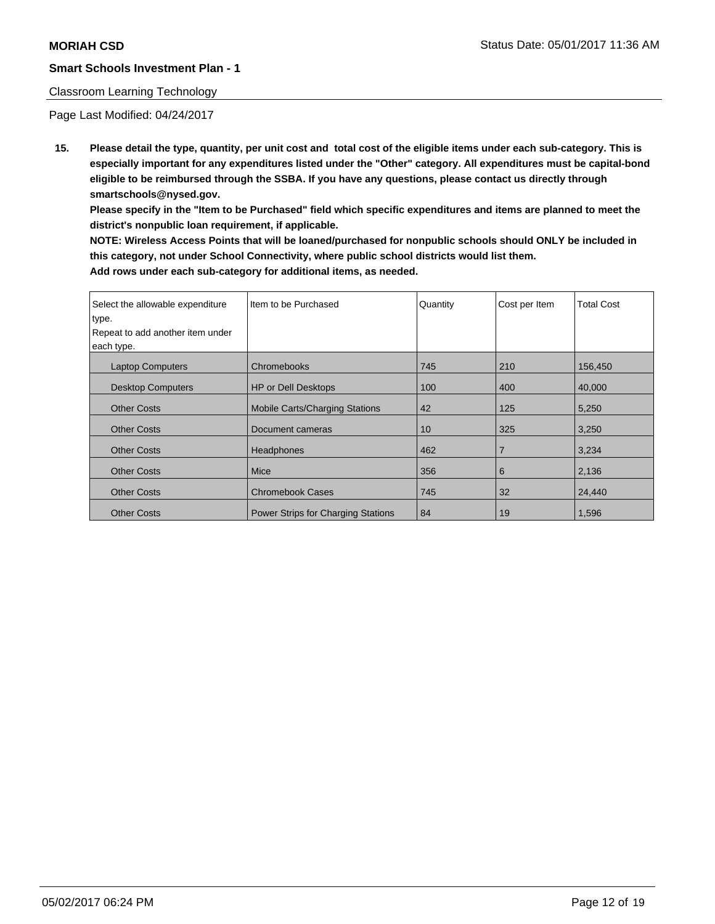### Classroom Learning Technology

Page Last Modified: 04/24/2017

**15. Please detail the type, quantity, per unit cost and total cost of the eligible items under each sub-category. This is especially important for any expenditures listed under the "Other" category. All expenditures must be capital-bond eligible to be reimbursed through the SSBA. If you have any questions, please contact us directly through smartschools@nysed.gov.**

**Please specify in the "Item to be Purchased" field which specific expenditures and items are planned to meet the district's nonpublic loan requirement, if applicable.**

**NOTE: Wireless Access Points that will be loaned/purchased for nonpublic schools should ONLY be included in this category, not under School Connectivity, where public school districts would list them. Add rows under each sub-category for additional items, as needed.**

| Select the allowable expenditure<br>type.<br>Repeat to add another item under<br>each type. | I Item to be Purchased                | Quantity | Cost per Item  | <b>Total Cost</b> |
|---------------------------------------------------------------------------------------------|---------------------------------------|----------|----------------|-------------------|
| <b>Laptop Computers</b>                                                                     | Chromebooks                           | 745      | 210            | 156,450           |
| <b>Desktop Computers</b>                                                                    | <b>HP or Dell Desktops</b>            | 100      | 400            | 40,000            |
| <b>Other Costs</b>                                                                          | <b>Mobile Carts/Charging Stations</b> | 42       | 125            | 5,250             |
| <b>Other Costs</b>                                                                          | Document cameras                      | 10       | 325            | 3,250             |
| <b>Other Costs</b>                                                                          | Headphones                            | 462      | $\overline{7}$ | 3,234             |
| <b>Other Costs</b>                                                                          | Mice                                  | 356      | 6              | 2,136             |
| <b>Other Costs</b>                                                                          | <b>Chromebook Cases</b>               | 745      | 32             | 24,440            |
| <b>Other Costs</b>                                                                          | Power Strips for Charging Stations    | 84       | 19             | 1,596             |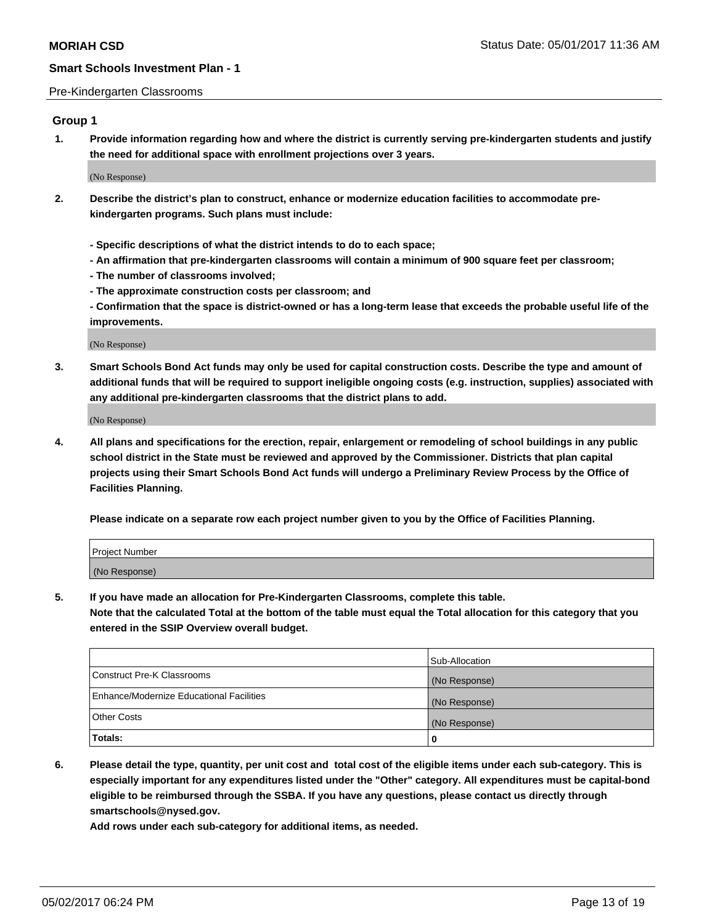#### Pre-Kindergarten Classrooms

## **Group 1**

**1. Provide information regarding how and where the district is currently serving pre-kindergarten students and justify the need for additional space with enrollment projections over 3 years.**

(No Response)

- **2. Describe the district's plan to construct, enhance or modernize education facilities to accommodate prekindergarten programs. Such plans must include:**
	- **Specific descriptions of what the district intends to do to each space;**
	- **An affirmation that pre-kindergarten classrooms will contain a minimum of 900 square feet per classroom;**
	- **The number of classrooms involved;**
	- **The approximate construction costs per classroom; and**

**- Confirmation that the space is district-owned or has a long-term lease that exceeds the probable useful life of the improvements.**

(No Response)

**3. Smart Schools Bond Act funds may only be used for capital construction costs. Describe the type and amount of additional funds that will be required to support ineligible ongoing costs (e.g. instruction, supplies) associated with any additional pre-kindergarten classrooms that the district plans to add.**

(No Response)

**4. All plans and specifications for the erection, repair, enlargement or remodeling of school buildings in any public school district in the State must be reviewed and approved by the Commissioner. Districts that plan capital projects using their Smart Schools Bond Act funds will undergo a Preliminary Review Process by the Office of Facilities Planning.**

**Please indicate on a separate row each project number given to you by the Office of Facilities Planning.**

| Project Number |  |
|----------------|--|
| (No Response)  |  |

**5. If you have made an allocation for Pre-Kindergarten Classrooms, complete this table.**

**Note that the calculated Total at the bottom of the table must equal the Total allocation for this category that you entered in the SSIP Overview overall budget.**

|                                          | Sub-Allocation |
|------------------------------------------|----------------|
| Construct Pre-K Classrooms               | (No Response)  |
| Enhance/Modernize Educational Facilities | (No Response)  |
| Other Costs                              | (No Response)  |
| Totals:                                  | 0              |

**6. Please detail the type, quantity, per unit cost and total cost of the eligible items under each sub-category. This is especially important for any expenditures listed under the "Other" category. All expenditures must be capital-bond eligible to be reimbursed through the SSBA. If you have any questions, please contact us directly through smartschools@nysed.gov.**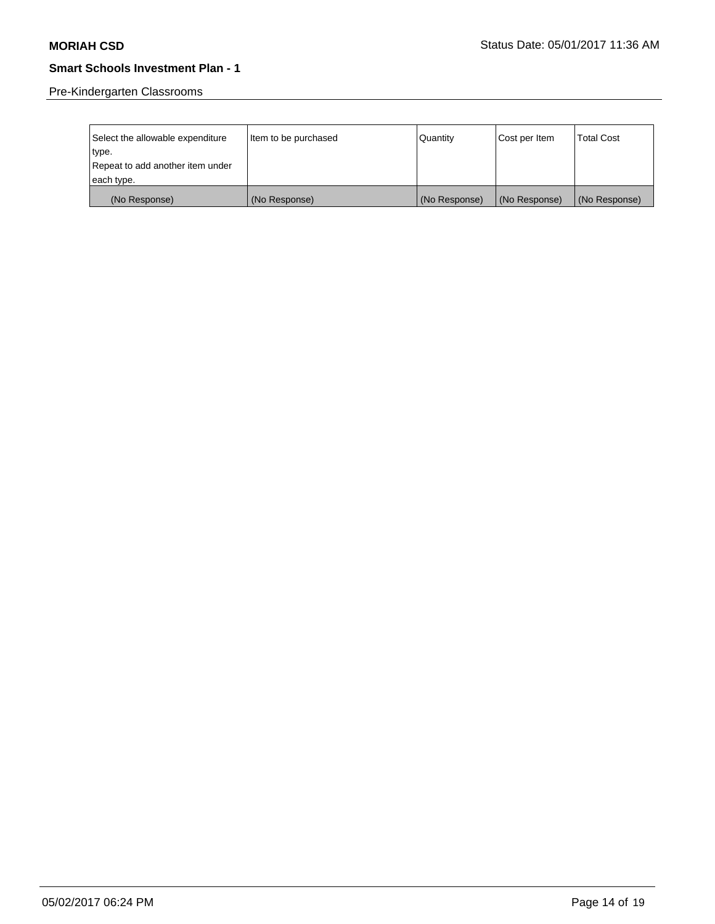Pre-Kindergarten Classrooms

| Select the allowable expenditure<br>type. | Item to be purchased | Quantity      | Cost per Item | <b>Total Cost</b> |
|-------------------------------------------|----------------------|---------------|---------------|-------------------|
| Repeat to add another item under          |                      |               |               |                   |
| each type.                                |                      |               |               |                   |
| (No Response)                             | (No Response)        | (No Response) | (No Response) | (No Response)     |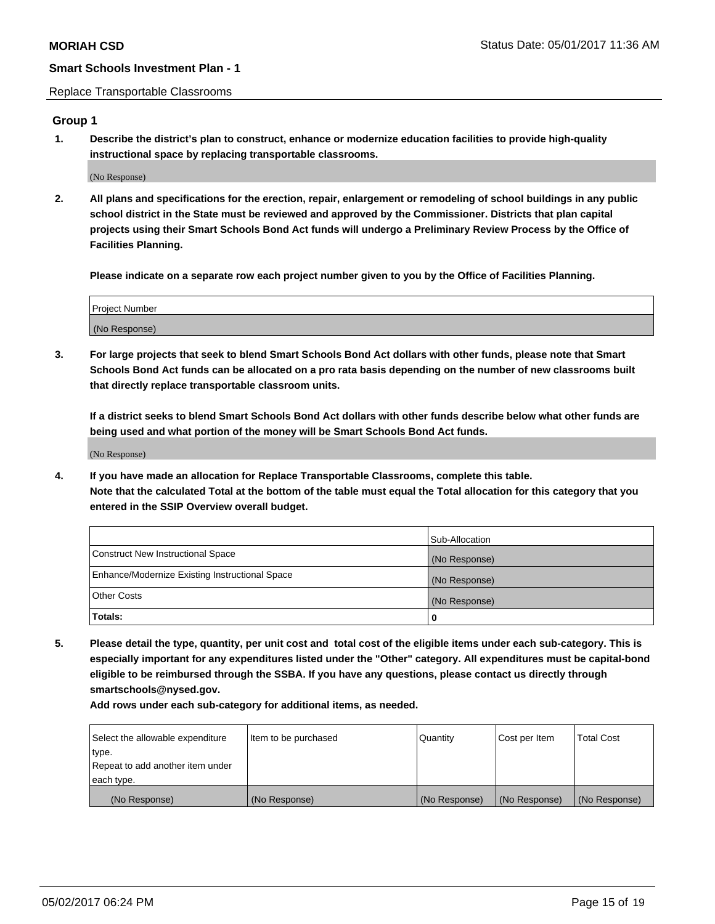Replace Transportable Classrooms

# **Group 1**

**1. Describe the district's plan to construct, enhance or modernize education facilities to provide high-quality instructional space by replacing transportable classrooms.**

(No Response)

**2. All plans and specifications for the erection, repair, enlargement or remodeling of school buildings in any public school district in the State must be reviewed and approved by the Commissioner. Districts that plan capital projects using their Smart Schools Bond Act funds will undergo a Preliminary Review Process by the Office of Facilities Planning.**

**Please indicate on a separate row each project number given to you by the Office of Facilities Planning.**

| Project Number |  |
|----------------|--|
| (No Response)  |  |

**3. For large projects that seek to blend Smart Schools Bond Act dollars with other funds, please note that Smart Schools Bond Act funds can be allocated on a pro rata basis depending on the number of new classrooms built that directly replace transportable classroom units.**

**If a district seeks to blend Smart Schools Bond Act dollars with other funds describe below what other funds are being used and what portion of the money will be Smart Schools Bond Act funds.**

(No Response)

**4. If you have made an allocation for Replace Transportable Classrooms, complete this table. Note that the calculated Total at the bottom of the table must equal the Total allocation for this category that you entered in the SSIP Overview overall budget.**

|                                                | Sub-Allocation |
|------------------------------------------------|----------------|
| Construct New Instructional Space              | (No Response)  |
| Enhance/Modernize Existing Instructional Space | (No Response)  |
| Other Costs                                    | (No Response)  |
| Totals:                                        | 0              |

**5. Please detail the type, quantity, per unit cost and total cost of the eligible items under each sub-category. This is especially important for any expenditures listed under the "Other" category. All expenditures must be capital-bond eligible to be reimbursed through the SSBA. If you have any questions, please contact us directly through smartschools@nysed.gov.**

| Select the allowable expenditure | Item to be purchased | Quantity      | Cost per Item | <b>Total Cost</b> |
|----------------------------------|----------------------|---------------|---------------|-------------------|
| type.                            |                      |               |               |                   |
| Repeat to add another item under |                      |               |               |                   |
| each type.                       |                      |               |               |                   |
| (No Response)                    | (No Response)        | (No Response) | (No Response) | (No Response)     |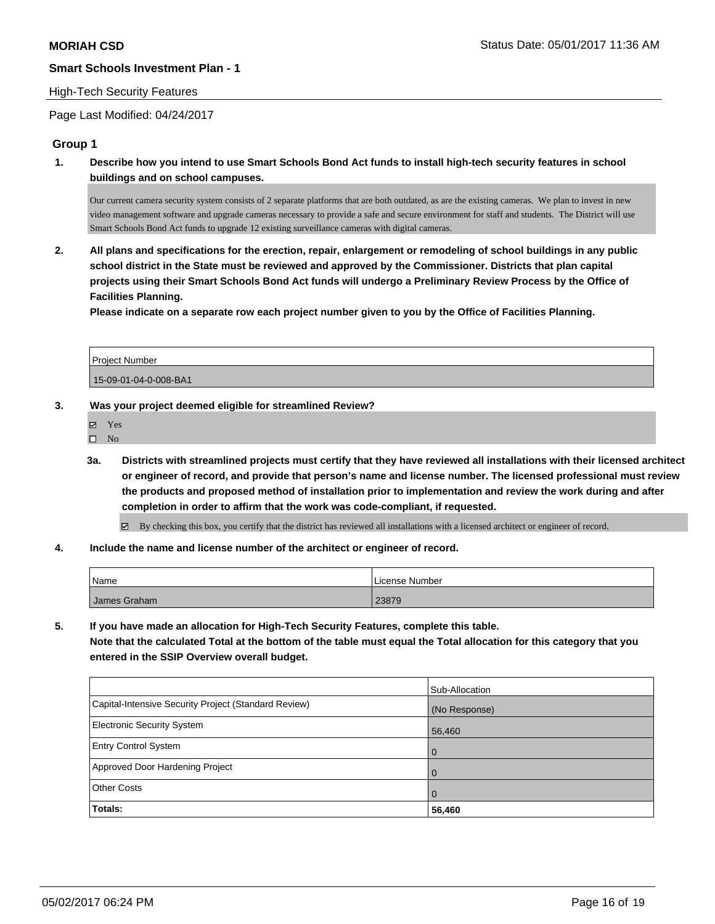#### High-Tech Security Features

Page Last Modified: 04/24/2017

# **Group 1**

**1. Describe how you intend to use Smart Schools Bond Act funds to install high-tech security features in school buildings and on school campuses.**

Our current camera security system consists of 2 separate platforms that are both outdated, as are the existing cameras. We plan to invest in new video management software and upgrade cameras necessary to provide a safe and secure environment for staff and students. The District will use Smart Schools Bond Act funds to upgrade 12 existing surveillance cameras with digital cameras.

**2. All plans and specifications for the erection, repair, enlargement or remodeling of school buildings in any public school district in the State must be reviewed and approved by the Commissioner. Districts that plan capital projects using their Smart Schools Bond Act funds will undergo a Preliminary Review Process by the Office of Facilities Planning.** 

**Please indicate on a separate row each project number given to you by the Office of Facilities Planning.**

| Project Number        |  |
|-----------------------|--|
| 15-09-01-04-0-008-BA1 |  |

- **3. Was your project deemed eligible for streamlined Review?**
	- Yes
	- $\square$  No
	- **3a. Districts with streamlined projects must certify that they have reviewed all installations with their licensed architect or engineer of record, and provide that person's name and license number. The licensed professional must review the products and proposed method of installation prior to implementation and review the work during and after completion in order to affirm that the work was code-compliant, if requested.**

By checking this box, you certify that the district has reviewed all installations with a licensed architect or engineer of record.

**4. Include the name and license number of the architect or engineer of record.**

| Name         | License Number |
|--------------|----------------|
| James Graham | 23879          |

**5. If you have made an allocation for High-Tech Security Features, complete this table. Note that the calculated Total at the bottom of the table must equal the Total allocation for this category that you entered in the SSIP Overview overall budget.**

|                                                      | Sub-Allocation |
|------------------------------------------------------|----------------|
| Capital-Intensive Security Project (Standard Review) | (No Response)  |
| <b>Electronic Security System</b>                    | 56,460         |
| <b>Entry Control System</b>                          | $\Omega$       |
| Approved Door Hardening Project                      | $\Omega$       |
| <b>Other Costs</b>                                   | $\Omega$       |
| Totals:                                              | 56,460         |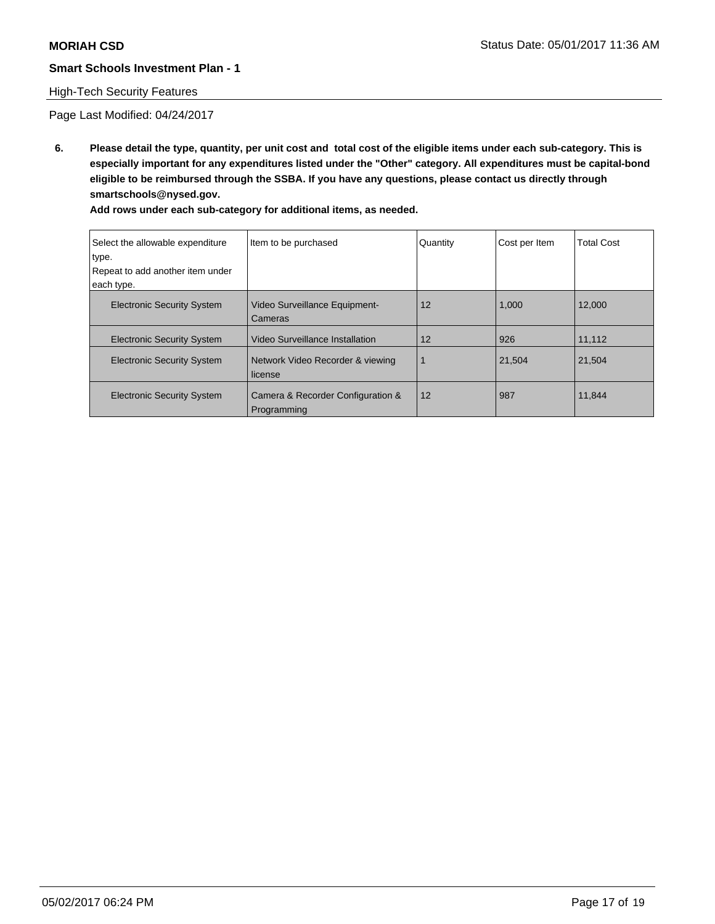# High-Tech Security Features

Page Last Modified: 04/24/2017

**6. Please detail the type, quantity, per unit cost and total cost of the eligible items under each sub-category. This is especially important for any expenditures listed under the "Other" category. All expenditures must be capital-bond eligible to be reimbursed through the SSBA. If you have any questions, please contact us directly through smartschools@nysed.gov.**

| Select the allowable expenditure<br>type.<br>Repeat to add another item under<br>each type. | Item to be purchased                             | Quantity | Cost per Item | <b>Total Cost</b> |
|---------------------------------------------------------------------------------------------|--------------------------------------------------|----------|---------------|-------------------|
| <b>Electronic Security System</b>                                                           | <b>Video Surveillance Equipment-</b><br>Cameras  | 12       | 1,000         | 12,000            |
| <b>Electronic Security System</b>                                                           | Video Surveillance Installation                  | 12       | 926           | 11,112            |
| <b>Electronic Security System</b>                                                           | Network Video Recorder & viewing<br>license      |          | 21,504        | 21,504            |
| <b>Electronic Security System</b>                                                           | Camera & Recorder Configuration &<br>Programming | 12       | 987           | 11,844            |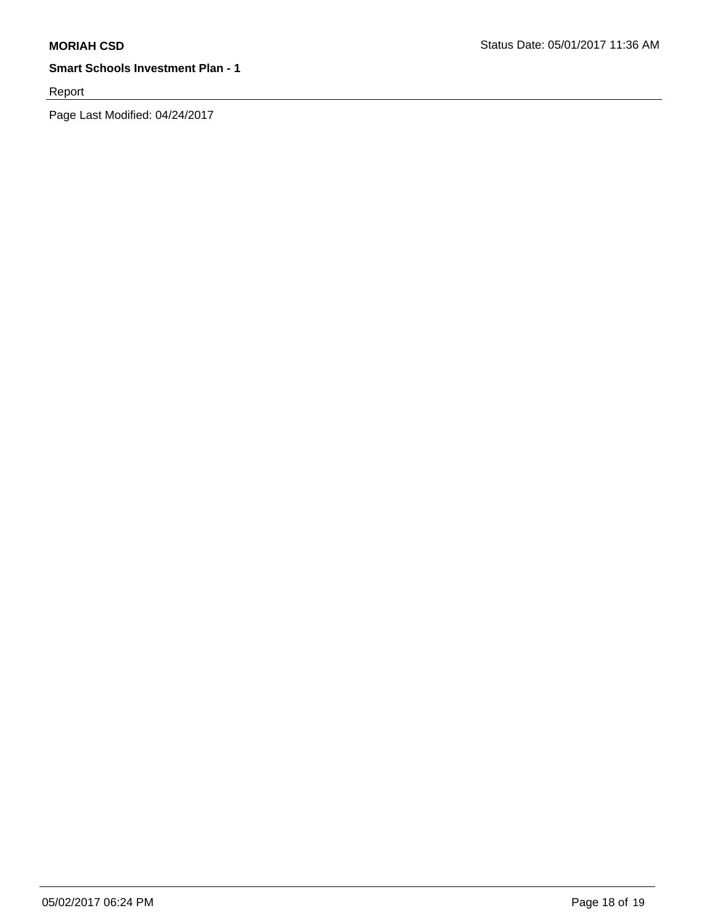Report

Page Last Modified: 04/24/2017